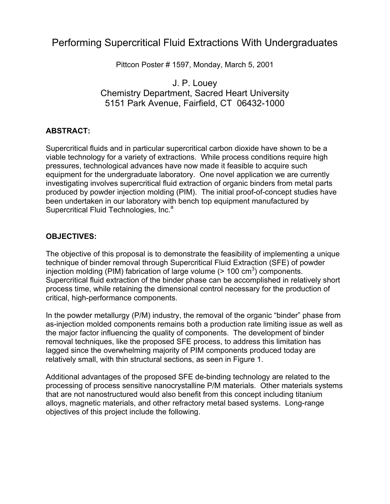# Performing Supercritical Fluid Extractions With Undergraduates

Pittcon Poster # 1597, Monday, March 5, 2001

### J. P. Louey Chemistry Department, Sacred Heart University 5151 Park Avenue, Fairfield, CT 06432-1000

### **ABSTRACT:**

Supercritical fluids and in particular supercritical carbon dioxide have shown to be a viable technology for a variety of extractions. While process conditions require high pressures, technological advances have now made it feasible to acquire such equipment for the undergraduate laboratory. One novel application we are currently investigating involves supercritical fluid extraction of organic binders from metal parts produced by powder injection molding (PIM). The initial proof-of-concept studies have been undertaken in our laboratory with bench top equipment manufactured by Supercritical Fluid Technologies, Inc.<sup>a</sup>

### **OBJECTIVES:**

The objective of this proposal is to demonstrate the feasibility of implementing a unique technique of binder removal through Supercritical Fluid Extraction (SFE) of powder injection molding (PIM) fabrication of large volume ( $> 100 \text{ cm}^3$ ) components. Supercritical fluid extraction of the binder phase can be accomplished in relatively short process time, while retaining the dimensional control necessary for the production of critical, high-performance components.

In the powder metallurgy (P/M) industry, the removal of the organic "binder" phase from as-injection molded components remains both a production rate limiting issue as well as the major factor influencing the quality of components. The development of binder removal techniques, like the proposed SFE process, to address this limitation has lagged since the overwhelming majority of PIM components produced today are relatively small, with thin structural sections, as seen in Figure 1.

Additional advantages of the proposed SFE de-binding technology are related to the processing of process sensitive nanocrystalline P/M materials. Other materials systems that are not nanostructured would also benefit from this concept including titanium alloys, magnetic materials, and other refractory metal based systems. Long-range objectives of this project include the following.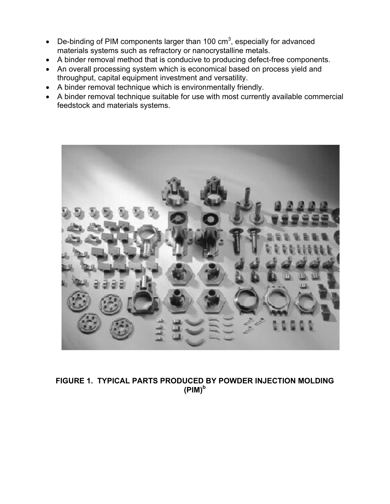- De-binding of PIM components larger than 100  $\text{cm}^3$ , especially for advanced materials systems such as refractory or nanocrystalline metals.
- A binder removal method that is conducive to producing defect-free components.
- An overall processing system which is economical based on process yield and throughput, capital equipment investment and versatility.
- A binder removal technique which is environmentally friendly.
- A binder removal technique suitable for use with most currently available commercial feedstock and materials systems.



**FIGURE 1. TYPICAL PARTS PRODUCED BY POWDER INJECTION MOLDING (PIM)<sup>b</sup>**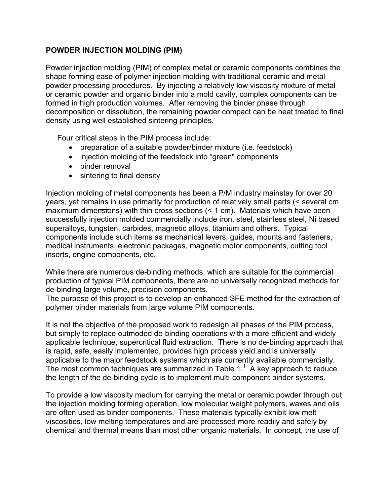### **POWDER INJECTION MOLDING (PIM)**

Powder injection molding (PIM) of complex metal or ceramic components combines the shape forming ease of polymer injection molding with traditional ceramic and metal powder processing procedures. By injecting a relatively low viscosity mixture of metal or ceramic powder and organic binder into a mold cavity, complex components can be formed in high production volumes. After removing the binder phase through decomposition or dissolution, the remaining powder compact can be heat treated to final density using well established sintering principles.

Four critical steps in the PIM process include:

- preparation of a suitable powder/binder mixture (i.e. feedstock)
- injection molding of the feedstock into "green" components
- binder removal
- sintering to final density

Injection molding of metal components has been a P/M industry mainstay for over 20 years, yet remains in use primarily for production of relatively small parts (< several cm maximum dimensions) with thin cross sections (< 1 cm). Materials which have been successfully injection molded commercially include iron, steel, stainless steel, Ni based superalloys, tungsten, carbides, magnetic alloys, titanium and others. Typical components include such items as mechanical levers, guides, mounts and fasteners, medical instruments, electronic packages, magnetic motor components, cutting tool inserts, engine components, etc.

While there are numerous de-binding methods, which are suitable for the commercial production of typical PIM components, there are no universally recognized methods for de-binding large volume, precision components.

The purpose of this project is to develop an enhanced SFE method for the extraction of polymer binder materials from large volume PIM components.

It is not the objective of the proposed work to redesign all phases of the PIM process, but simply to replace outmoded de-binding operations with a more efficient and widely applicable technique, supercritical fluid extraction. There is no de-binding approach that is rapid, safe, easily implemented, provides high process yield and is universally applicable to the major feedstock systems which are currently available commercially. The most common techniques are summarized in Table  $1<sup>1</sup>$  A key approach to reduce the length of the de-binding cycle is to implement multi-component binder systems.

To provide a low viscosity medium for carrying the metal or ceramic powder through out the injection molding forming operation, low molecular weight polymers, waxes and oils are often used as binder components. These materials typically exhibit low melt viscosities, low melting temperatures and are processed more readily and safely by chemical and thermal means than most other organic materials. In concept, the use of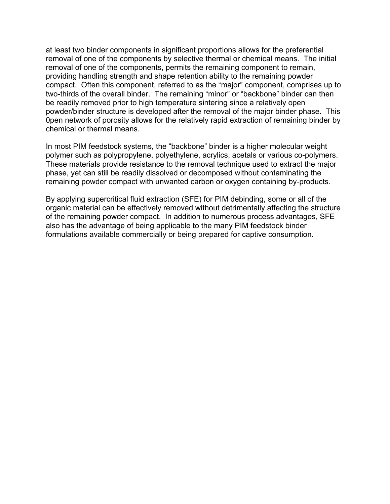at least two binder components in significant proportions allows for the preferential removal of one of the components by selective thermal or chemical means. The initial removal of one of the components, permits the remaining component to remain, providing handling strength and shape retention ability to the remaining powder compact. Often this component, referred to as the "major" component, comprises up to two-thirds of the overall binder. The remaining "minor" or "backbone" binder can then be readily removed prior to high temperature sintering since a relatively open powder/binder structure is developed after the removal of the major binder phase. This 0pen network of porosity allows for the relatively rapid extraction of remaining binder by chemical or thermal means.

In most PIM feedstock systems, the "backbone" binder is a higher molecular weight polymer such as polypropylene, polyethylene, acrylics, acetals or various co-polymers. These materials provide resistance to the removal technique used to extract the major phase, yet can still be readily dissolved or decomposed without contaminating the remaining powder compact with unwanted carbon or oxygen containing by-products.

By applying supercritical fluid extraction (SFE) for PIM debinding, some or all of the organic material can be effectively removed without detrimentally affecting the structure of the remaining powder compact. In addition to numerous process advantages, SFE also has the advantage of being applicable to the many PIM feedstock binder formulations available commercially or being prepared for captive consumption.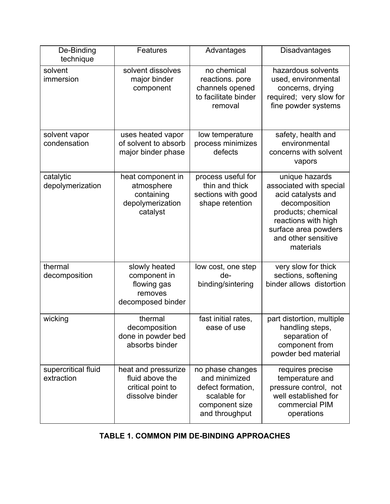| De-Binding<br>technique           | Features                                                                       | Advantages                                                                                                 | <b>Disadvantages</b>                                                                                                                                                                      |
|-----------------------------------|--------------------------------------------------------------------------------|------------------------------------------------------------------------------------------------------------|-------------------------------------------------------------------------------------------------------------------------------------------------------------------------------------------|
| solvent<br>immersion              | solvent dissolves<br>major binder<br>component                                 | no chemical<br>reactions. pore<br>channels opened<br>to facilitate binder<br>removal                       | hazardous solvents<br>used, environmental<br>concerns, drying<br>required; very slow for<br>fine powder systems                                                                           |
| solvent vapor<br>condensation     | uses heated vapor<br>of solvent to absorb<br>major binder phase                | low temperature<br>process minimizes<br>defects                                                            | safety, health and<br>environmental<br>concerns with solvent<br>vapors                                                                                                                    |
| catalytic<br>depolymerization     | heat component in<br>atmosphere<br>containing<br>depolymerization<br>catalyst  | process useful for<br>thin and thick<br>sections with good<br>shape retention                              | unique hazards<br>associated with special<br>acid catalysts and<br>decomposition<br>products; chemical<br>reactions with high<br>surface area powders<br>and other sensitive<br>materials |
| thermal<br>decomposition          | slowly heated<br>component in<br>flowing gas<br>removes<br>decomposed binder   | low cost, one step<br>de-<br>binding/sintering                                                             | very slow for thick<br>sections, softening<br>binder allows distortion                                                                                                                    |
| wicking                           | thermal<br>decomposition<br>done in powder bed<br>absorbs binder               | fast initial rates,<br>ease of use                                                                         | part distortion, multiple<br>handling steps,<br>separation of<br>component from<br>powder bed material                                                                                    |
| supercritical fluid<br>extraction | heat and pressurize<br>fluid above the<br>critical point to<br>dissolve binder | no phase changes<br>and minimized<br>defect formation,<br>scalable for<br>component size<br>and throughput | requires precise<br>temperature and<br>pressure control, not<br>well established for<br>commercial PIM<br>operations                                                                      |

## **TABLE 1. COMMON PIM DE-BINDING APPROACHES**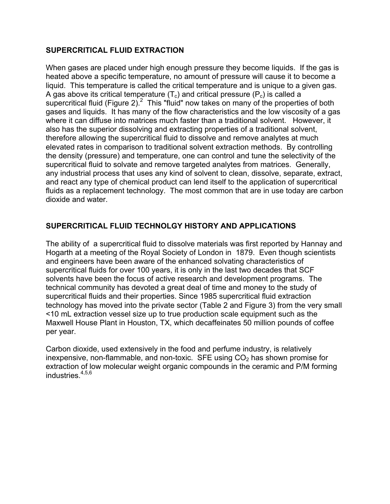### **SUPERCRITICAL FLUID EXTRACTION**

When gases are placed under high enough pressure they become liquids. If the gas is heated above a specific temperature, no amount of pressure will cause it to become a liquid. This temperature is called the critical temperature and is unique to a given gas. A gas above its critical temperature  $(T_c)$  and critical pressure  $(P_c)$  is called a supercritical fluid (Figure 2).<sup>2</sup> This "fluid" now takes on many of the properties of both gases and liquids. It has many of the flow characteristics and the low viscosity of a gas where it can diffuse into matrices much faster than a traditional solvent. However, it also has the superior dissolving and extracting properties of a traditional solvent, therefore allowing the supercritical fluid to dissolve and remove analytes at much elevated rates in comparison to traditional solvent extraction methods. By controlling the density (pressure) and temperature, one can control and tune the selectivity of the supercritical fluid to solvate and remove targeted analytes from matrices. Generally, any industrial process that uses any kind of solvent to clean, dissolve, separate, extract, and react any type of chemical product can lend itself to the application of supercritical fluids as a replacement technology. The most common that are in use today are carbon dioxide and water.

### **SUPERCRITICAL FLUID TECHNOLGY HISTORY AND APPLICATIONS**

The ability of a supercritical fluid to dissolve materials was first reported by Hannay and Hogarth at a meeting of the Royal Society of London in 1879. Even though scientists and engineers have been aware of the enhanced solvating characteristics of supercritical fluids for over 100 years, it is only in the last two decades that SCF solvents have been the focus of active research and development programs. The technical community has devoted a great deal of time and money to the study of supercritical fluids and their properties. Since 1985 supercritical fluid extraction technology has moved into the private sector (Table 2 and Figure 3) from the very small <10 mL extraction vessel size up to true production scale equipment such as the Maxwell House Plant in Houston, TX, which decaffeinates 50 million pounds of coffee per year.

Carbon dioxide, used extensively in the food and perfume industry, is relatively inexpensive, non-flammable, and non-toxic. SFE using  $CO<sub>2</sub>$  has shown promise for extraction of low molecular weight organic compounds in the ceramic and P/M forming industries. $4,5,6$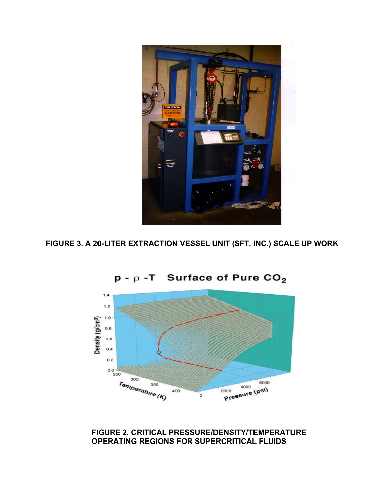

**FIGURE 3. A 20-LITER EXTRACTION VESSEL UNIT (SFT, INC.) SCALE UP WORK** 



 $p - p - T$  Surface of Pure CO<sub>2</sub>

**FIGURE 2. CRITICAL PRESSURE/DENSITY/TEMPERATURE OPERATING REGIONS FOR SUPERCRITICAL FLUIDS**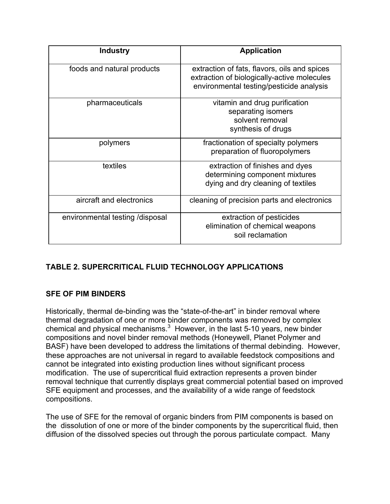| <b>Industry</b>                 | <b>Application</b>                                                                                                                      |  |
|---------------------------------|-----------------------------------------------------------------------------------------------------------------------------------------|--|
| foods and natural products      | extraction of fats, flavors, oils and spices<br>extraction of biologically-active molecules<br>environmental testing/pesticide analysis |  |
| pharmaceuticals                 | vitamin and drug purification<br>separating isomers<br>solvent removal<br>synthesis of drugs                                            |  |
| polymers                        | fractionation of specialty polymers<br>preparation of fluoropolymers                                                                    |  |
| textiles                        | extraction of finishes and dyes<br>determining component mixtures<br>dying and dry cleaning of textiles                                 |  |
| aircraft and electronics        | cleaning of precision parts and electronics                                                                                             |  |
| environmental testing /disposal | extraction of pesticides<br>elimination of chemical weapons<br>soil reclamation                                                         |  |

### **TABLE 2. SUPERCRITICAL FLUID TECHNOLOGY APPLICATIONS**

### **SFE OF PIM BINDERS**

Historically, thermal de-binding was the "state-of-the-art" in binder removal where thermal degradation of one or more binder components was removed by complex chemical and physical mechanisms. $3$  However, in the last 5-10 years, new binder compositions and novel binder removal methods (Honeywell, Planet Polymer and BASF) have been developed to address the limitations of thermal debinding. However, these approaches are not universal in regard to available feedstock compositions and cannot be integrated into existing production lines without significant process modification. The use of supercritical fluid extraction represents a proven binder removal technique that currently displays great commercial potential based on improved SFE equipment and processes, and the availability of a wide range of feedstock compositions.

The use of SFE for the removal of organic binders from PIM components is based on the dissolution of one or more of the binder components by the supercritical fluid, then diffusion of the dissolved species out through the porous particulate compact. Many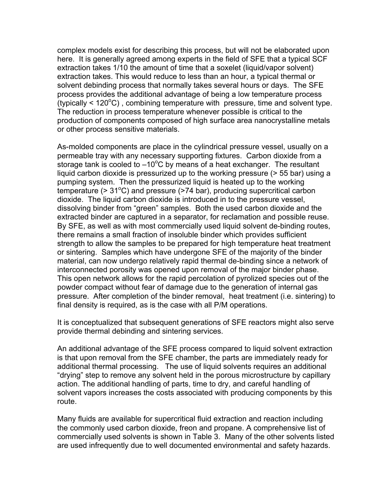complex models exist for describing this process, but will not be elaborated upon here. It is generally agreed among experts in the field of SFE that a typical SCF extraction takes 1/10 the amount of time that a soxelet (liquid/vapor solvent) extraction takes. This would reduce to less than an hour, a typical thermal or solvent debinding process that normally takes several hours or days. The SFE process provides the additional advantage of being a low temperature process  $(t$ ypically < 120 $\textdegree$ C), combining temperature with pressure, time and solvent type. The reduction in process temperature whenever possible is critical to the production of components composed of high surface area nanocrystalline metals or other process sensitive materials.

As-molded components are place in the cylindrical pressure vessel, usually on a permeable tray with any necessary supporting fixtures. Carbon dioxide from a storage tank is cooled to  $-10^{\circ}$ C by means of a heat exchanger. The resultant liquid carbon dioxide is pressurized up to the working pressure (> 55 bar) using a pumping system. Then the pressurized liquid is heated up to the working temperature (> 31°C) and pressure (>74 bar), producing supercritical carbon dioxide. The liquid carbon dioxide is introduced in to the pressure vessel, dissolving binder from "green" samples. Both the used carbon dioxide and the extracted binder are captured in a separator, for reclamation and possible reuse. By SFE, as well as with most commercially used liquid solvent de-binding routes, there remains a small fraction of insoluble binder which provides sufficient strength to allow the samples to be prepared for high temperature heat treatment or sintering. Samples which have undergone SFE of the majority of the binder material, can now undergo relatively rapid thermal de-binding since a network of interconnected porosity was opened upon removal of the major binder phase. This open network allows for the rapid percolation of pyrolized species out of the powder compact without fear of damage due to the generation of internal gas pressure. After completion of the binder removal, heat treatment (i.e. sintering) to final density is required, as is the case with all P/M operations.

It is conceptualized that subsequent generations of SFE reactors might also serve provide thermal debinding and sintering services.

An additional advantage of the SFE process compared to liquid solvent extraction is that upon removal from the SFE chamber, the parts are immediately ready for additional thermal processing. The use of liquid solvents requires an additional "drying" step to remove any solvent held in the porous microstructure by capillary action. The additional handling of parts, time to dry, and careful handling of solvent vapors increases the costs associated with producing components by this route.

Many fluids are available for supercritical fluid extraction and reaction including the commonly used carbon dioxide, freon and propane. A comprehensive list of commercially used solvents is shown in Table 3. Many of the other solvents listed are used infrequently due to well documented environmental and safety hazards.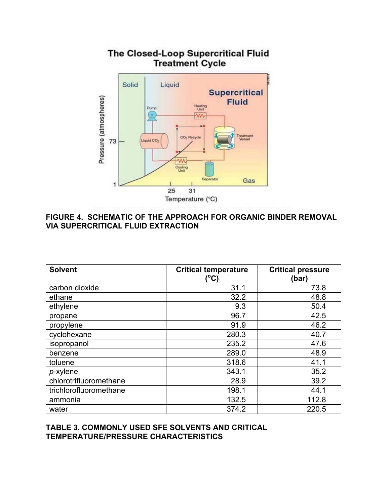

### **FIGURE 4. SCHEMATIC OF THE APPROACH FOR ORGANIC BINDER REMOVAL VIA SUPERCRITICAL FLUID EXTRACTION**

| <b>Solvent</b>         | <b>Critical temperature</b><br>(°C) | <b>Critical pressure</b><br>(bar) |
|------------------------|-------------------------------------|-----------------------------------|
| carbon dioxide         | 31.1                                | 73.8                              |
| ethane                 | 32.2                                | 48.8                              |
| ethylene               | 9.3                                 | 50.4                              |
| propane                | 96.7                                | 42.5                              |
| propylene              | 91.9                                | 46.2                              |
| cyclohexane            | 280.3                               | 40.7                              |
| isopropanol            | 235.2                               | 47.6                              |
| benzene                | 289.0                               | 48.9                              |
| toluene                | 318.6                               | 41.1                              |
| $p$ -xylene            | 343.1                               | 35.2                              |
| chlorotrifluoromethane | 28.9                                | 39.2                              |
| trichlorofluoromethane | 198.1                               | 44.1                              |
| ammonia                | 132.5                               | 112.8                             |
| water                  | 374.2                               | 220.5                             |

#### **TABLE 3. COMMONLY USED SFE SOLVENTS AND CRITICAL TEMPERATURE/PRESSURE CHARACTERISTICS**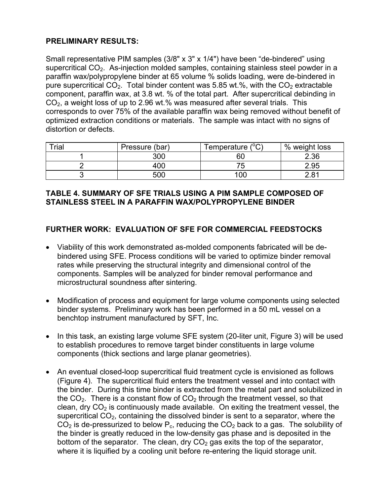### **PRELIMINARY RESULTS:**

Small representative PIM samples (3/8" x 3" x 1/4") have been "de-bindered" using supercritical CO<sub>2</sub>. As-injection molded samples, containing stainless steel powder in a paraffin wax/polypropylene binder at 65 volume % solids loading, were de-bindered in pure supercritical  $CO<sub>2</sub>$ . Total binder content was 5.85 wt.%, with the  $CO<sub>2</sub>$  extractable component, paraffin wax, at 3.8 wt. % of the total part. After supercritical debinding in  $CO<sub>2</sub>$ , a weight loss of up to 2.96 wt.% was measured after several trials. This corresponds to over 75% of the available paraffin wax being removed without benefit of optimized extraction conditions or materials. The sample was intact with no signs of distortion or defects.

| Trial | Pressure (bar) | $10^\circ$<br>Femperature (<br>◡ | % weight loss |
|-------|----------------|----------------------------------|---------------|
|       | 300            | 60                               | 2.36          |
|       | 400            |                                  | 2.95          |
|       | 500            | 100                              | 2.81          |

### **TABLE 4. SUMMARY OF SFE TRIALS USING A PIM SAMPLE COMPOSED OF STAINLESS STEEL IN A PARAFFIN WAX/POLYPROPYLENE BINDER**

### **FURTHER WORK: EVALUATION OF SFE FOR COMMERCIAL FEEDSTOCKS**

- Viability of this work demonstrated as-molded components fabricated will be debindered using SFE. Process conditions will be varied to optimize binder removal rates while preserving the structural integrity and dimensional control of the components. Samples will be analyzed for binder removal performance and microstructural soundness after sintering.
- Modification of process and equipment for large volume components using selected binder systems. Preliminary work has been performed in a 50 mL vessel on a benchtop instrument manufactured by SFT, Inc.
- In this task, an existing large volume SFE system (20-liter unit, Figure 3) will be used to establish procedures to remove target binder constituents in large volume components (thick sections and large planar geometries).
- An eventual closed-loop supercritical fluid treatment cycle is envisioned as follows (Figure 4). The supercritical fluid enters the treatment vessel and into contact with the binder. During this time binder is extracted from the metal part and solubilized in the  $CO<sub>2</sub>$ . There is a constant flow of  $CO<sub>2</sub>$  through the treatment vessel, so that clean, dry  $CO<sub>2</sub>$  is continuously made available. On exiting the treatment vessel, the supercritical  $CO<sub>2</sub>$ , containing the dissolved binder is sent to a separator, where the  $CO<sub>2</sub>$  is de-pressurized to below  $P<sub>c</sub>$ , reducing the  $CO<sub>2</sub>$  back to a gas. The solubility of the binder is greatly reduced in the low-density gas phase and is deposited in the bottom of the separator. The clean, dry  $CO<sub>2</sub>$  gas exits the top of the separator, where it is liquified by a cooling unit before re-entering the liquid storage unit.